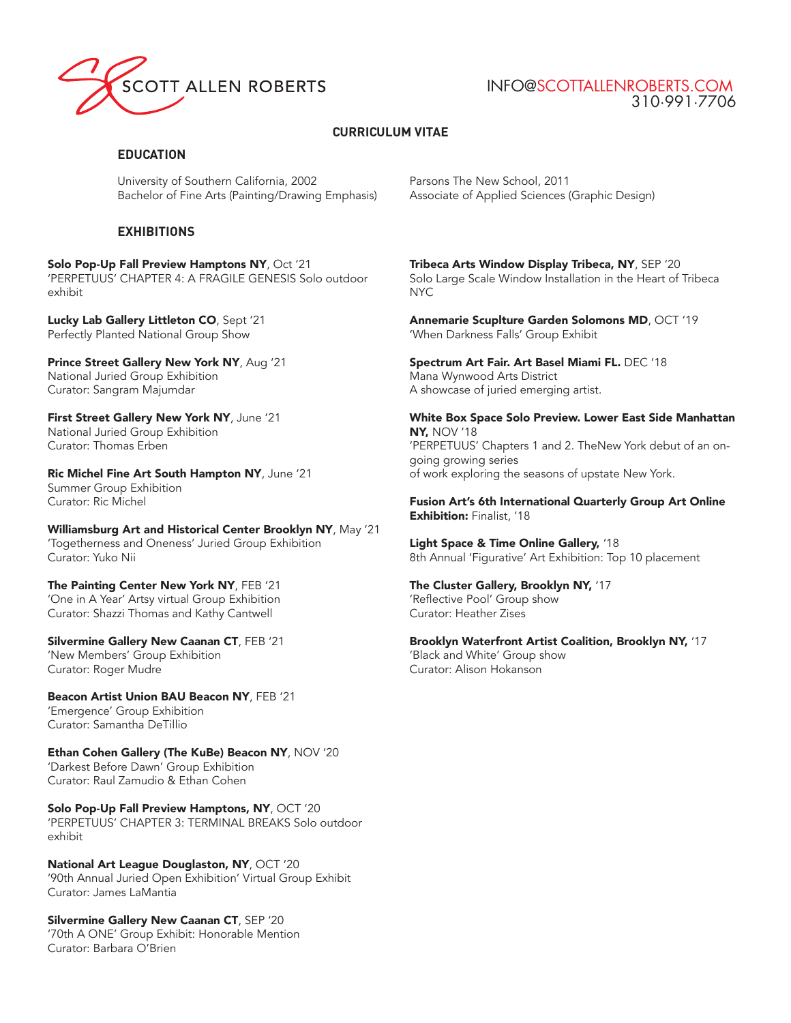

# INFO@SCOTTALLENROBERTS.COM 310·991·7706

# **CURRICULUM VITAE**

### **EDUCATION**

University of Southern California, 2002 Bachelor of Fine Arts (Painting/Drawing Emphasis)

## **EXHIBITIONS**

Solo Pop-Up Fall Preview Hamptons NY, Oct '21 'PERPETUUS' CHAPTER 4: A FRAGILE GENESIS Solo outdoor exhibit

Lucky Lab Gallery Littleton CO, Sept '21 Perfectly Planted National Group Show

Prince Street Gallery New York NY, Aug '21 National Juried Group Exhibition Curator: Sangram Majumdar

First Street Gallery New York NY, June '21 National Juried Group Exhibition Curator: Thomas Erben

Ric Michel Fine Art South Hampton NY, June '21 Summer Group Exhibition Curator: Ric Michel

Williamsburg Art and Historical Center Brooklyn NY, May '21 'Togetherness and Oneness' Juried Group Exhibition Curator: Yuko Nii

The Painting Center New York NY, FEB '21 'One in A Year' Artsy virtual Group Exhibition Curator: Shazzi Thomas and Kathy Cantwell

Silvermine Gallery New Caanan CT, FEB '21 'New Members' Group Exhibition Curator: Roger Mudre

Beacon Artist Union BAU Beacon NY, FEB '21 'Emergence' Group Exhibition Curator: Samantha DeTillio

Ethan Cohen Gallery (The KuBe) Beacon NY, NOV '20 'Darkest Before Dawn' Group Exhibition Curator: Raul Zamudio & Ethan Cohen

Solo Pop-Up Fall Preview Hamptons, NY, OCT '20 'PERPETUUS' CHAPTER 3: TERMINAL BREAKS Solo outdoor exhibit

National Art League Douglaston, NY, OCT '20 '90th Annual Juried Open Exhibition' Virtual Group Exhibit Curator: James LaMantia

Silvermine Gallery New Caanan CT, SEP '20 '70th A ONE' Group Exhibit: Honorable Mention Curator: Barbara O'Brien

Parsons The New School, 2011 Associate of Applied Sciences (Graphic Design)

Tribeca Arts Window Display Tribeca, NY, SEP '20 Solo Large Scale Window Installation in the Heart of Tribeca NYC

Annemarie Scuplture Garden Solomons MD, OCT '19 'When Darkness Falls' Group Exhibit

Spectrum Art Fair. Art Basel Miami FL. DEC '18 Mana Wynwood Arts District A showcase of juried emerging artist.

White Box Space Solo Preview. Lower East Side Manhattan NY, NOV '18 'PERPETUUS' Chapters 1 and 2. TheNew York debut of an ongoing growing series of work exploring the seasons of upstate New York.

Fusion Art's 6th International Quarterly Group Art Online Exhibition: Finalist, '18

Light Space & Time Online Gallery, '18 8th Annual 'Figurative' Art Exhibition: Top 10 placement

The Cluster Gallery, Brooklyn NY, '17 'Reflective Pool' Group show Curator: Heather Zises

Brooklyn Waterfront Artist Coalition, Brooklyn NY, '17 'Black and White' Group show Curator: Alison Hokanson